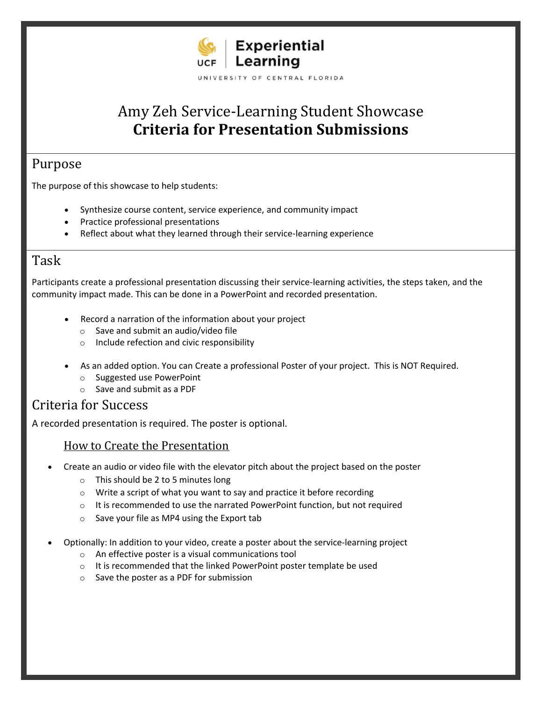

# Amy Zeh Service-Learning Student Showcase **Criteria for Presentation Submissions**

# Purpose

The purpose of this showcase to help students:

- Synthesize course content, service experience, and community impact
- Practice professional presentations
- Reflect about what they learned through their service-learning experience

## Task

Participants create a professional presentation discussing their service-learning activities, the steps taken, and the community impact made. This can be done in a PowerPoint and recorded presentation.

- Record a narration of the information about your project
	- o Save and submit an audio/video file
	- o Include refection and civic responsibility
- As an added option. You can Create a professional Poster of your project. This is NOT Required.
	- o Suggested use PowerPoint
	- o Save and submit as a PDF

# Criteria for Success

A recorded presentation is required. The poster is optional.

#### How to Create the Presentation

- Create an audio or video file with the elevator pitch about the project based on the poster
	- $\circ$  This should be 2 to 5 minutes long
	- o Write a script of what you want to say and practice it before recording
	- o It is recommended to use the narrated PowerPoint function, but not required
	- o Save your file as MP4 using the Export tab
- Optionally: In addition to your video, create a poster about the service-learning project
	- o An effective poster is a visual communications tool
	- o It is recommended that the linked PowerPoint poster template be used
	- o Save the poster as a PDF for submission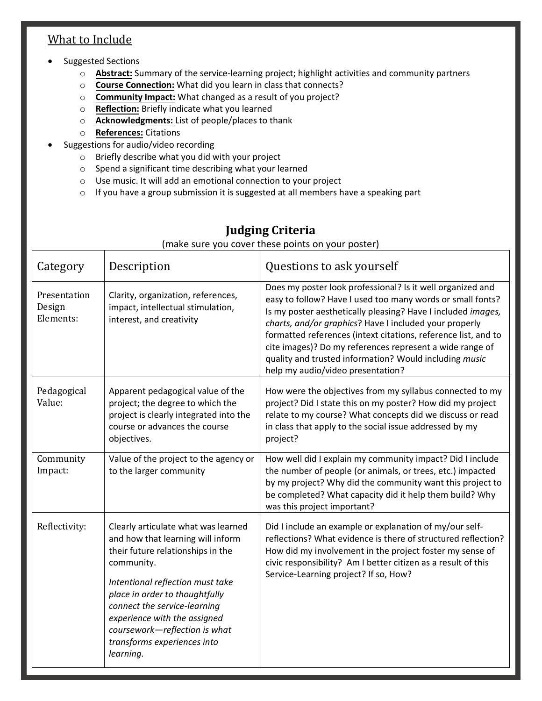### What to Include

- Suggested Sections
	- o **Abstract:** Summary of the service-learning project; highlight activities and community partners
	- o **Course Connection:** What did you learn in class that connects?
	- o **Community Impact:** What changed as a result of you project?
	- o **Reflection:** Briefly indicate what you learned
	- o **Acknowledgments:** List of people/places to thank
	- o **References:** Citations
- Suggestions for audio/video recording
	- o Briefly describe what you did with your project
	- o Spend a significant time describing what your learned
	- o Use music. It will add an emotional connection to your project
	- $\circ$  If you have a group submission it is suggested at all members have a speaking part

| Category                            | Description                                                                                                                                                                                                                                                                                                                                    | Questions to ask yourself                                                                                                                                                                                                                                                                                                                                                                                                                                                       |
|-------------------------------------|------------------------------------------------------------------------------------------------------------------------------------------------------------------------------------------------------------------------------------------------------------------------------------------------------------------------------------------------|---------------------------------------------------------------------------------------------------------------------------------------------------------------------------------------------------------------------------------------------------------------------------------------------------------------------------------------------------------------------------------------------------------------------------------------------------------------------------------|
| Presentation<br>Design<br>Elements: | Clarity, organization, references,<br>impact, intellectual stimulation,<br>interest, and creativity                                                                                                                                                                                                                                            | Does my poster look professional? Is it well organized and<br>easy to follow? Have I used too many words or small fonts?<br>Is my poster aesthetically pleasing? Have I included images,<br>charts, and/or graphics? Have I included your properly<br>formatted references (intext citations, reference list, and to<br>cite images)? Do my references represent a wide range of<br>quality and trusted information? Would including music<br>help my audio/video presentation? |
| Pedagogical<br>Value:               | Apparent pedagogical value of the<br>project; the degree to which the<br>project is clearly integrated into the<br>course or advances the course<br>objectives.                                                                                                                                                                                | How were the objectives from my syllabus connected to my<br>project? Did I state this on my poster? How did my project<br>relate to my course? What concepts did we discuss or read<br>in class that apply to the social issue addressed by my<br>project?                                                                                                                                                                                                                      |
| Community<br>Impact:                | Value of the project to the agency or<br>to the larger community                                                                                                                                                                                                                                                                               | How well did I explain my community impact? Did I include<br>the number of people (or animals, or trees, etc.) impacted<br>by my project? Why did the community want this project to<br>be completed? What capacity did it help them build? Why<br>was this project important?                                                                                                                                                                                                  |
| Reflectivity:                       | Clearly articulate what was learned<br>and how that learning will inform<br>their future relationships in the<br>community.<br>Intentional reflection must take<br>place in order to thoughtfully<br>connect the service-learning<br>experience with the assigned<br>coursework-reflection is what<br>transforms experiences into<br>learning. | Did I include an example or explanation of my/our self-<br>reflections? What evidence is there of structured reflection?<br>How did my involvement in the project foster my sense of<br>civic responsibility? Am I better citizen as a result of this<br>Service-Learning project? If so, How?                                                                                                                                                                                  |

# **Judging Criteria**

(make sure you cover these points on your poster)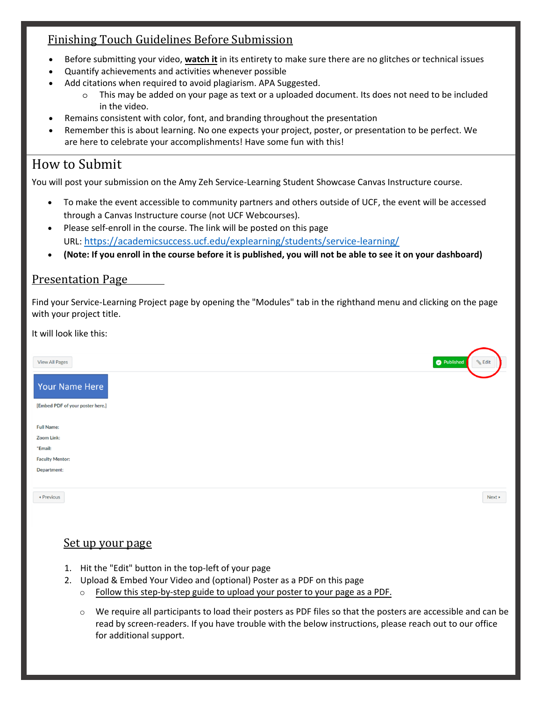### Finishing Touch Guidelines Before Submission

- Before submitting your video, **watch it** in its entirety to make sure there are no glitches or technical issues
- Quantify achievements and activities whenever possible
- Add citations when required to avoid plagiarism. APA Suggested.
	- o This may be added on your page as text or a uploaded document. Its does not need to be included in the video.
- Remains consistent with color, font, and branding throughout the presentation
- Remember this is about learning. No one expects your project, poster, or presentation to be perfect. We are here to celebrate your accomplishments! Have some fun with this!

# How to Submit

You will post your submission on the Amy Zeh Service-Learning Student Showcase Canvas Instructure course.

- To make the event accessible to community partners and others outside of UCF, the event will be accessed through a Canvas Instructure course (not UCF Webcourses).
- Please self-enroll in the course. The link will be posted on this page URL: <https://academicsuccess.ucf.edu/explearning/students/service-learning/>
- **(Note: If you enroll in the course before it is published, you will not be able to see it on your dashboard)**

#### Presentation Page

Find your Service-Learning Project page by opening the "Modules" tab in the righthand menu and clicking on the page with your project title.

It will look like this:

| <b>View All Pages</b>             |  | Published |
|-----------------------------------|--|-----------|
| Your Name Here                    |  |           |
| [Embed PDF of your poster here.]  |  |           |
| <b>Full Name:</b>                 |  |           |
| <b>Zoom Link:</b>                 |  |           |
| *Email:<br><b>Faculty Mentor:</b> |  |           |
| <b>Department:</b>                |  |           |
|                                   |  |           |
| ◆ Previous                        |  |           |

#### Set up your page

- 1. Hit the "Edit" button in the top-left of your page
- 2. Upload & Embed Your Video and (optional) Poster as a PDF on this page
	- $\circ$  [Follow this step-by-step guide to upload your poster to your page as a PDF.](https://community.canvaslms.com/t5/Student-Guide/How-do-I-upload-a-PDF-to-a-page-in-a-group/ta-p/347)
	- $\circ$  We require all participants to load their posters as PDF files so that the posters are accessible and can be read by screen-readers. If you have trouble with the below instructions, please reach out to our office for additional support.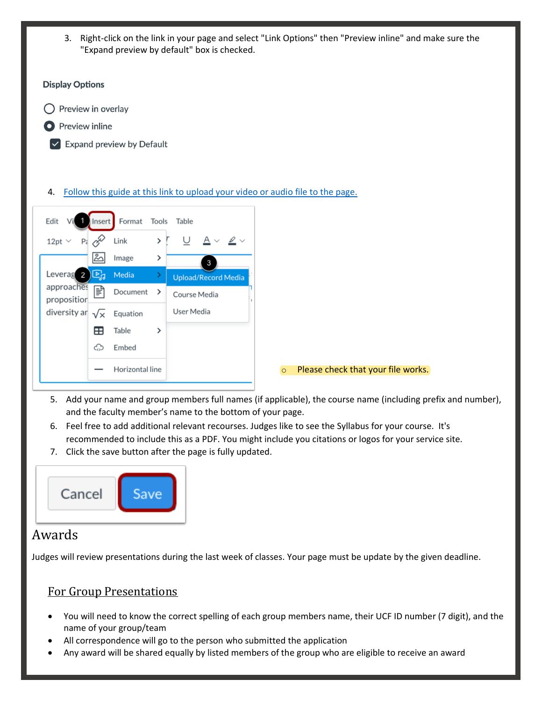3. Right-click on the link in your page and select "Link Options" then "Preview inline" and make sure the "Expand preview by default" box is checked.





- 5. Add your name and group members full names (if applicable), the course name (including prefix and number), and the faculty member's name to the bottom of your page.
- 6. Feel free to add additional relevant recourses. Judges like to see the Syllabus for your course. It's recommended to include this as a PDF. You might include you citations or logos for your service site.
- 7. Click the save button after the page is fully updated.



# Awards

Judges will review presentations during the last week of classes. Your page must be update by the given deadline.

### For Group Presentations

- You will need to know the correct spelling of each group members name, their UCF ID number (7 digit), and the name of your group/team
- All correspondence will go to the person who submitted the application
- Any award will be shared equally by listed members of the group who are eligible to receive an award